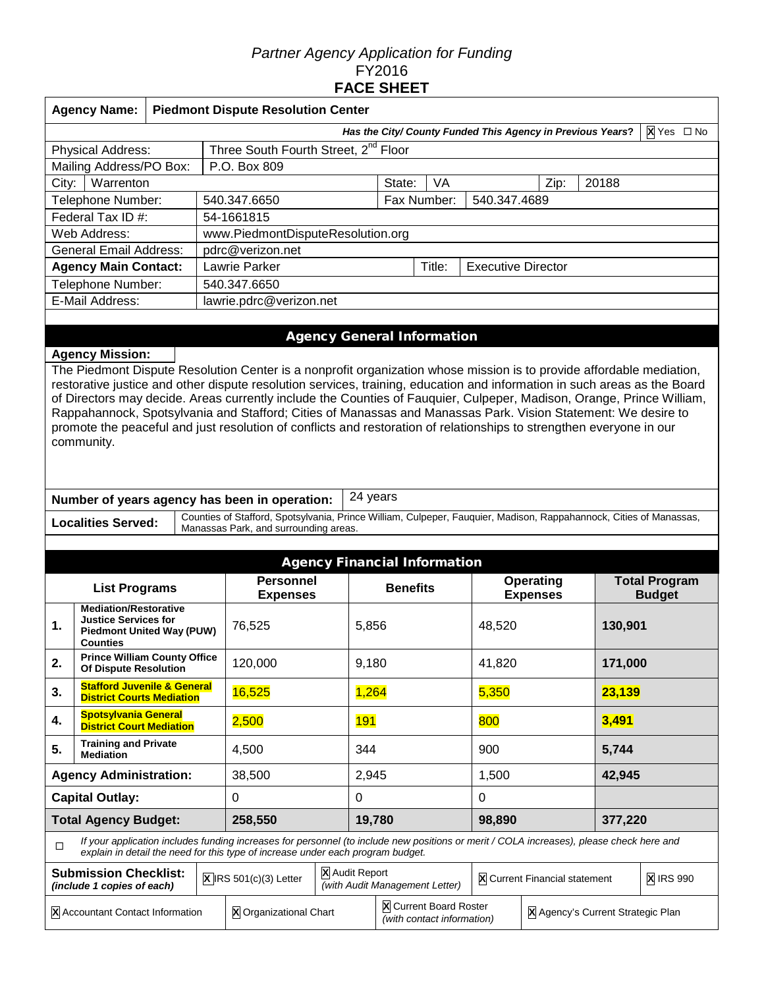# *Partner Agency Application for Funding*  FY2016 **FACE SHEET**

| <b>Agency Name:</b>                 |                                                                          | <b>Piedmont Dispute Resolution Center</b>                                                                                                                                                                                             |          |                             |                           |      |       |  |  |  |  |
|-------------------------------------|--------------------------------------------------------------------------|---------------------------------------------------------------------------------------------------------------------------------------------------------------------------------------------------------------------------------------|----------|-----------------------------|---------------------------|------|-------|--|--|--|--|
|                                     | Has the City/ County Funded This Agency in Previous Years?<br>X Yes □ No |                                                                                                                                                                                                                                       |          |                             |                           |      |       |  |  |  |  |
| Physical Address:                   |                                                                          | Three South Fourth Street, 2 <sup>nd</sup> Floor                                                                                                                                                                                      |          |                             |                           |      |       |  |  |  |  |
| Mailing Address/PO Box:             |                                                                          | P.O. Box 809                                                                                                                                                                                                                          |          |                             |                           |      |       |  |  |  |  |
| Warrenton<br>City:                  |                                                                          |                                                                                                                                                                                                                                       | State:   | VA                          |                           | Zip: | 20188 |  |  |  |  |
| Telephone Number:                   |                                                                          | 540.347.6650                                                                                                                                                                                                                          |          | Fax Number:<br>540.347.4689 |                           |      |       |  |  |  |  |
| Federal Tax ID #:                   |                                                                          | 54-1661815                                                                                                                                                                                                                            |          |                             |                           |      |       |  |  |  |  |
| Web Address:                        |                                                                          | www.PiedmontDisputeResolution.org                                                                                                                                                                                                     |          |                             |                           |      |       |  |  |  |  |
| <b>General Email Address:</b>       |                                                                          | pdrc@verizon.net                                                                                                                                                                                                                      |          |                             |                           |      |       |  |  |  |  |
| <b>Agency Main Contact:</b>         |                                                                          | Lawrie Parker                                                                                                                                                                                                                         |          |                             | <b>Executive Director</b> |      |       |  |  |  |  |
| Telephone Number:                   |                                                                          | 540.347.6650                                                                                                                                                                                                                          |          |                             |                           |      |       |  |  |  |  |
| E-Mail Address:                     |                                                                          | lawrie.pdrc@verizon.net                                                                                                                                                                                                               |          |                             |                           |      |       |  |  |  |  |
|                                     |                                                                          |                                                                                                                                                                                                                                       |          |                             |                           |      |       |  |  |  |  |
|                                     |                                                                          | <b>Agency General Information</b>                                                                                                                                                                                                     |          |                             |                           |      |       |  |  |  |  |
| <b>Agency Mission:</b>              |                                                                          |                                                                                                                                                                                                                                       |          |                             |                           |      |       |  |  |  |  |
|                                     |                                                                          | The Piedmont Dispute Resolution Center is a nonprofit organization whose mission is to provide affordable mediation,                                                                                                                  |          |                             |                           |      |       |  |  |  |  |
|                                     |                                                                          | restorative justice and other dispute resolution services, training, education and information in such areas as the Board                                                                                                             |          |                             |                           |      |       |  |  |  |  |
|                                     |                                                                          | of Directors may decide. Areas currently include the Counties of Fauquier, Culpeper, Madison, Orange, Prince William,                                                                                                                 |          |                             |                           |      |       |  |  |  |  |
|                                     |                                                                          | Rappahannock, Spotsylvania and Stafford; Cities of Manassas and Manassas Park. Vision Statement: We desire to<br>promote the peaceful and just resolution of conflicts and restoration of relationships to strengthen everyone in our |          |                             |                           |      |       |  |  |  |  |
| community.                          |                                                                          |                                                                                                                                                                                                                                       |          |                             |                           |      |       |  |  |  |  |
|                                     |                                                                          |                                                                                                                                                                                                                                       |          |                             |                           |      |       |  |  |  |  |
|                                     |                                                                          |                                                                                                                                                                                                                                       |          |                             |                           |      |       |  |  |  |  |
|                                     |                                                                          |                                                                                                                                                                                                                                       |          |                             |                           |      |       |  |  |  |  |
|                                     |                                                                          | Number of years agency has been in operation:                                                                                                                                                                                         | 24 years |                             |                           |      |       |  |  |  |  |
| <b>Localities Served:</b>           |                                                                          | Counties of Stafford, Spotsylvania, Prince William, Culpeper, Fauquier, Madison, Rappahannock, Cities of Manassas,<br>Manassas Park, and surrounding areas.                                                                           |          |                             |                           |      |       |  |  |  |  |
|                                     |                                                                          |                                                                                                                                                                                                                                       |          |                             |                           |      |       |  |  |  |  |
| <b>Agency Financial Information</b> |                                                                          |                                                                                                                                                                                                                                       |          |                             |                           |      |       |  |  |  |  |

|                                                                           | <b>Agency Financial Information</b>                                                                                                                                                                                         |         |                                            |       |                                                      |                               |                                     |        |                                       |  |
|---------------------------------------------------------------------------|-----------------------------------------------------------------------------------------------------------------------------------------------------------------------------------------------------------------------------|---------|--------------------------------------------|-------|------------------------------------------------------|-------------------------------|-------------------------------------|--------|---------------------------------------|--|
| <b>List Programs</b>                                                      |                                                                                                                                                                                                                             |         | <b>Personnel</b><br><b>Expenses</b>        |       | <b>Benefits</b>                                      |                               | <b>Operating</b><br><b>Expenses</b> |        | <b>Total Program</b><br><b>Budget</b> |  |
| 1.                                                                        | <b>Mediation/Restorative</b><br><b>Justice Services for</b><br><b>Piedmont United Way (PUW)</b><br><b>Counties</b>                                                                                                          | 76,525  |                                            |       | 5,856                                                |                               | 48,520                              |        | 130,901                               |  |
| <b>Prince William County Office</b><br>2.<br><b>Of Dispute Resolution</b> |                                                                                                                                                                                                                             | 120,000 |                                            |       | 9,180                                                |                               | 41,820                              |        | 171,000                               |  |
| 3.                                                                        | <b>Stafford Juvenile &amp; General</b><br><b>District Courts Mediation</b>                                                                                                                                                  | 16,525  |                                            | 1,264 |                                                      | 5,350                         |                                     | 23,139 |                                       |  |
| <b>Spotsylvania General</b><br>4.<br><b>District Court Mediation</b>      |                                                                                                                                                                                                                             | 2,500   |                                            |       | <b>191</b>                                           | 800                           |                                     | 3,491  |                                       |  |
| 5.                                                                        | <b>Training and Private</b><br><b>Mediation</b>                                                                                                                                                                             | 4,500   |                                            |       | 344                                                  | 900                           |                                     | 5,744  |                                       |  |
|                                                                           | <b>Agency Administration:</b>                                                                                                                                                                                               | 38,500  |                                            | 2,945 |                                                      | 1,500                         |                                     | 42,945 |                                       |  |
|                                                                           | <b>Capital Outlay:</b>                                                                                                                                                                                                      | 0       |                                            |       |                                                      | 0                             |                                     |        |                                       |  |
|                                                                           | <b>Total Agency Budget:</b>                                                                                                                                                                                                 | 258,550 |                                            |       | 19,780                                               |                               | 98,890                              |        | 377,220                               |  |
| $\Box$                                                                    | If your application includes funding increases for personnel (to include new positions or merit / COLA increases), please check here and<br>explain in detail the need for this type of increase under each program budget. |         |                                            |       |                                                      |                               |                                     |        |                                       |  |
|                                                                           | <b>Submission Checklist:</b><br>(include 1 copies of each)                                                                                                                                                                  |         | X Audit Report<br>$X$ IRS 501(c)(3) Letter |       | (with Audit Management Letter)                       | X Current Financial statement |                                     |        | <b>X</b> IRS 990                      |  |
|                                                                           | X Accountant Contact Information                                                                                                                                                                                            |         | <b>X</b> Organizational Chart              |       | X Current Board Roster<br>(with contact information) |                               | X Agency's Current Strategic Plan   |        |                                       |  |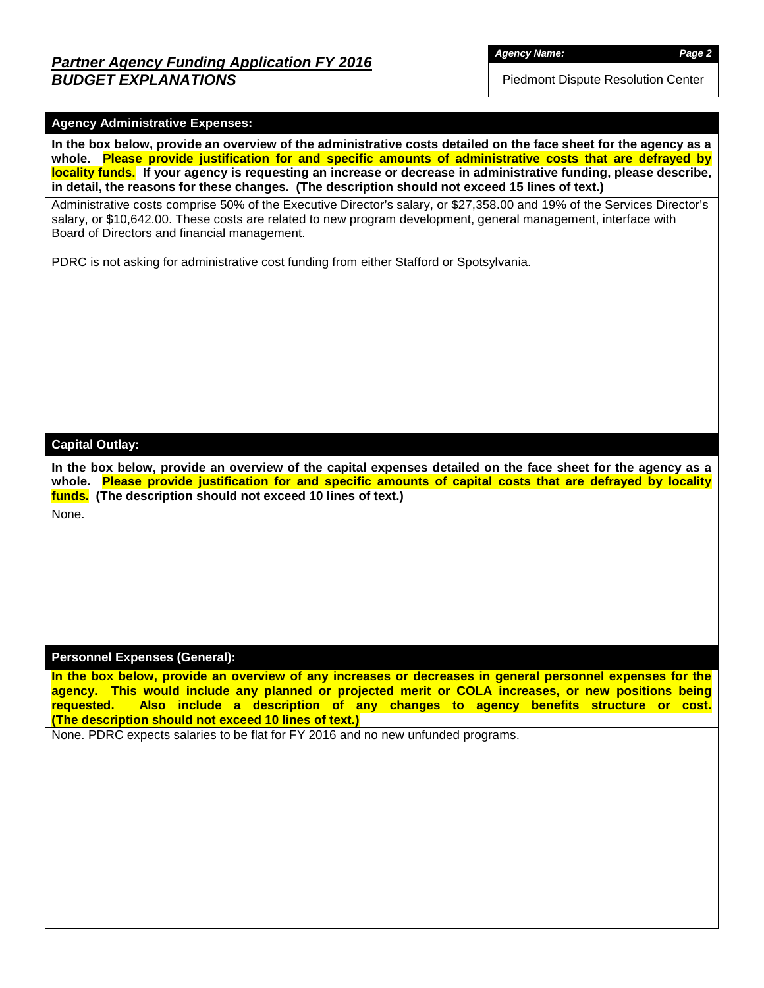*Agency Name: Page 2*

Piedmont Dispute Resolution Center

## **Agency Administrative Expenses:**

**In the box below, provide an overview of the administrative costs detailed on the face sheet for the agency as a whole. Please provide justification for and specific amounts of administrative costs that are defrayed by locality funds. If your agency is requesting an increase or decrease in administrative funding, please describe, in detail, the reasons for these changes. (The description should not exceed 15 lines of text.)**

Administrative costs comprise 50% of the Executive Director's salary, or \$27,358.00 and 19% of the Services Director's salary, or \$10,642.00. These costs are related to new program development, general management, interface with Board of Directors and financial management.

PDRC is not asking for administrative cost funding from either Stafford or Spotsylvania.

## **Capital Outlay:**

**In the box below, provide an overview of the capital expenses detailed on the face sheet for the agency as a whole. Please provide justification for and specific amounts of capital costs that are defrayed by locality funds. (The description should not exceed 10 lines of text.)**

None.

## **Personnel Expenses (General):**

**In the box below, provide an overview of any increases or decreases in general personnel expenses for the agency. This would include any planned or projected merit or COLA increases, or new positions being requested. Also include a description of any changes to agency benefits structure or cost. (The description should not exceed 10 lines of text.)**

None. PDRC expects salaries to be flat for FY 2016 and no new unfunded programs.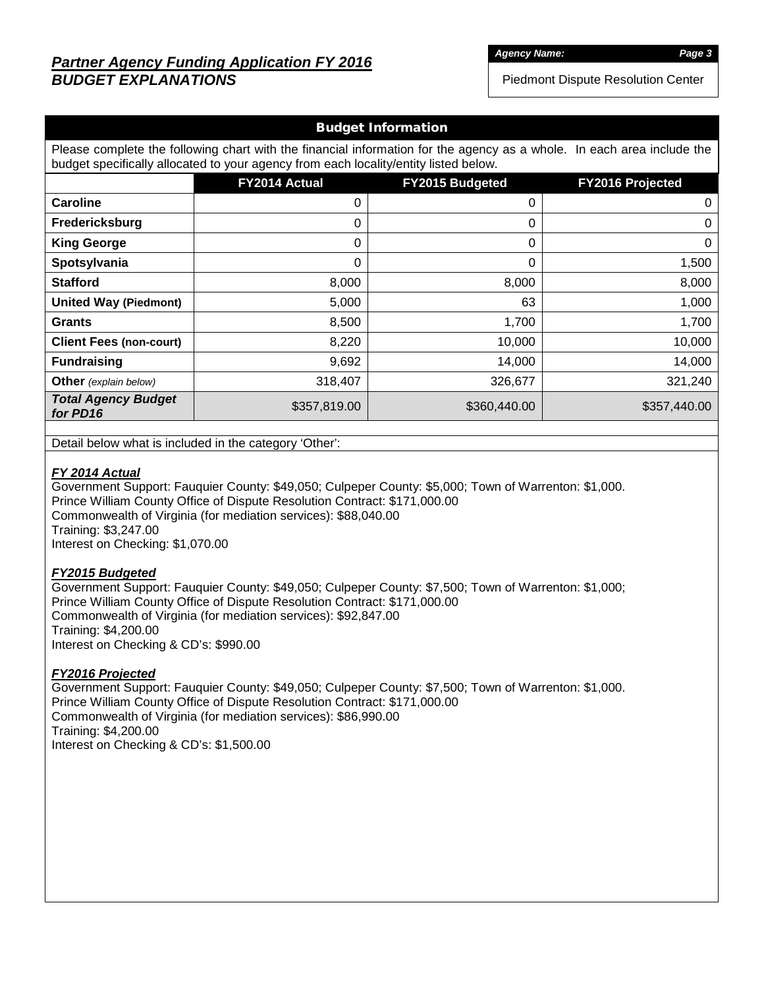# *Partner Agency Funding Application FY 2016 BUDGET EXPLANATIONS*

*Agency Name: Page 3*

Piedmont Dispute Resolution Center

## Budget Information

Please complete the following chart with the financial information for the agency as a whole. In each area include the budget specifically allocated to your agency from each locality/entity listed below.

|                                        | FY2014 Actual | FY2015 Budgeted | FY2016 Projected |
|----------------------------------------|---------------|-----------------|------------------|
| <b>Caroline</b>                        | 0             | 0               | 0                |
| Fredericksburg                         | 0             | 0               | 0                |
| <b>King George</b>                     | 0             | 0               | 0                |
| Spotsylvania                           | 0             | 0               | 1,500            |
| <b>Stafford</b>                        | 8,000         | 8,000           | 8,000            |
| <b>United Way (Piedmont)</b>           | 5,000         | 63              | 1,000            |
| <b>Grants</b>                          | 8,500         | 1,700           | 1,700            |
| <b>Client Fees (non-court)</b>         | 8,220         | 10,000          | 10,000           |
| <b>Fundraising</b>                     | 9,692         | 14,000          | 14,000           |
| <b>Other</b> (explain below)           | 318,407       | 326,677         | 321,240          |
| <b>Total Agency Budget</b><br>for PD16 | \$357,819.00  | \$360,440.00    | \$357,440.00     |

Detail below what is included in the category 'Other':

#### *FY 2014 Actual*

Government Support: Fauquier County: \$49,050; Culpeper County: \$5,000; Town of Warrenton: \$1,000. Prince William County Office of Dispute Resolution Contract: \$171,000.00 Commonwealth of Virginia (for mediation services): \$88,040.00 Training: \$3,247.00 Interest on Checking: \$1,070.00

## *FY2015 Budgeted*

Government Support: Fauquier County: \$49,050; Culpeper County: \$7,500; Town of Warrenton: \$1,000; Prince William County Office of Dispute Resolution Contract: \$171,000.00 Commonwealth of Virginia (for mediation services): \$92,847.00 Training: \$4,200.00 Interest on Checking & CD's: \$990.00

#### *FY2016 Projected*

Government Support: Fauquier County: \$49,050; Culpeper County: \$7,500; Town of Warrenton: \$1,000. Prince William County Office of Dispute Resolution Contract: \$171,000.00 Commonwealth of Virginia (for mediation services): \$86,990.00 Training: \$4,200.00 Interest on Checking & CD's: \$1,500.00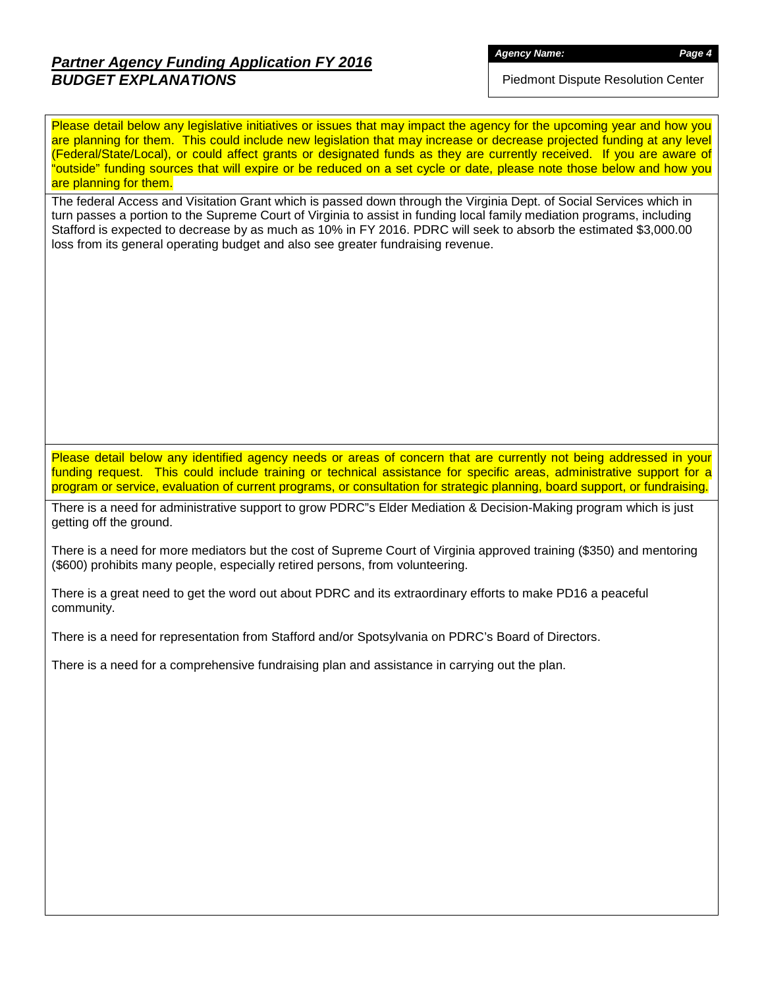# *Partner Agency Funding Application FY 2016 BUDGET EXPLANATIONS*

Piedmont Dispute Resolution Center

Please detail below any legislative initiatives or issues that may impact the agency for the upcoming year and how you are planning for them. This could include new legislation that may increase or decrease projected funding at any level (Federal/State/Local), or could affect grants or designated funds as they are currently received. If you are aware of "outside" funding sources that will expire or be reduced on a set cycle or date, please note those below and how you are planning for them.

The federal Access and Visitation Grant which is passed down through the Virginia Dept. of Social Services which in turn passes a portion to the Supreme Court of Virginia to assist in funding local family mediation programs, including Stafford is expected to decrease by as much as 10% in FY 2016. PDRC will seek to absorb the estimated \$3,000.00 loss from its general operating budget and also see greater fundraising revenue.

Please detail below any identified agency needs or areas of concern that are currently not being addressed in your funding request. This could include training or technical assistance for specific areas, administrative support for a program or service, evaluation of current programs, or consultation for strategic planning, board support, or fundraising.

There is a need for administrative support to grow PDRC"s Elder Mediation & Decision-Making program which is just getting off the ground.

There is a need for more mediators but the cost of Supreme Court of Virginia approved training (\$350) and mentoring (\$600) prohibits many people, especially retired persons, from volunteering.

There is a great need to get the word out about PDRC and its extraordinary efforts to make PD16 a peaceful community.

There is a need for representation from Stafford and/or Spotsylvania on PDRC's Board of Directors.

There is a need for a comprehensive fundraising plan and assistance in carrying out the plan.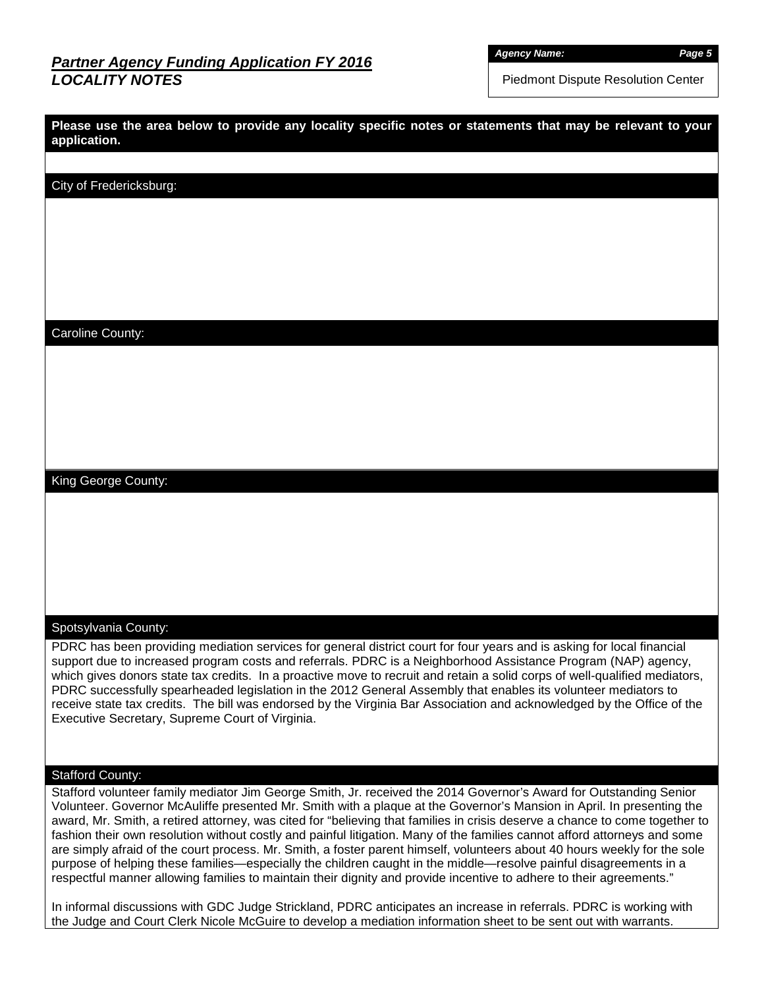# *Partner Agency Funding Application FY 2016 LOCALITY NOTES*

*Agency Name: Page 5*

Piedmont Dispute Resolution Center

| Please use the area below to provide any locality specific notes or statements that may be relevant to your<br>application. |
|-----------------------------------------------------------------------------------------------------------------------------|
|                                                                                                                             |

City of Fredericksburg:

Caroline County:

King George County:

## Spotsylvania County:

PDRC has been providing mediation services for general district court for four years and is asking for local financial support due to increased program costs and referrals. PDRC is a Neighborhood Assistance Program (NAP) agency, which gives donors state tax credits. In a proactive move to recruit and retain a solid corps of well-qualified mediators, PDRC successfully spearheaded legislation in the 2012 General Assembly that enables its volunteer mediators to receive state tax credits. The bill was endorsed by the Virginia Bar Association and acknowledged by the Office of the Executive Secretary, Supreme Court of Virginia.

### Stafford County:

Stafford volunteer family mediator Jim George Smith, Jr. received the 2014 Governor's Award for Outstanding Senior Volunteer. Governor McAuliffe presented Mr. Smith with a plaque at the Governor's Mansion in April. In presenting the award, Mr. Smith, a retired attorney, was cited for "believing that families in crisis deserve a chance to come together to fashion their own resolution without costly and painful litigation. Many of the families cannot afford attorneys and some are simply afraid of the court process. Mr. Smith, a foster parent himself, volunteers about 40 hours weekly for the sole purpose of helping these families—especially the children caught in the middle—resolve painful disagreements in a respectful manner allowing families to maintain their dignity and provide incentive to adhere to their agreements."

In informal discussions with GDC Judge Strickland, PDRC anticipates an increase in referrals. PDRC is working with the Judge and Court Clerk Nicole McGuire to develop a mediation information sheet to be sent out with warrants.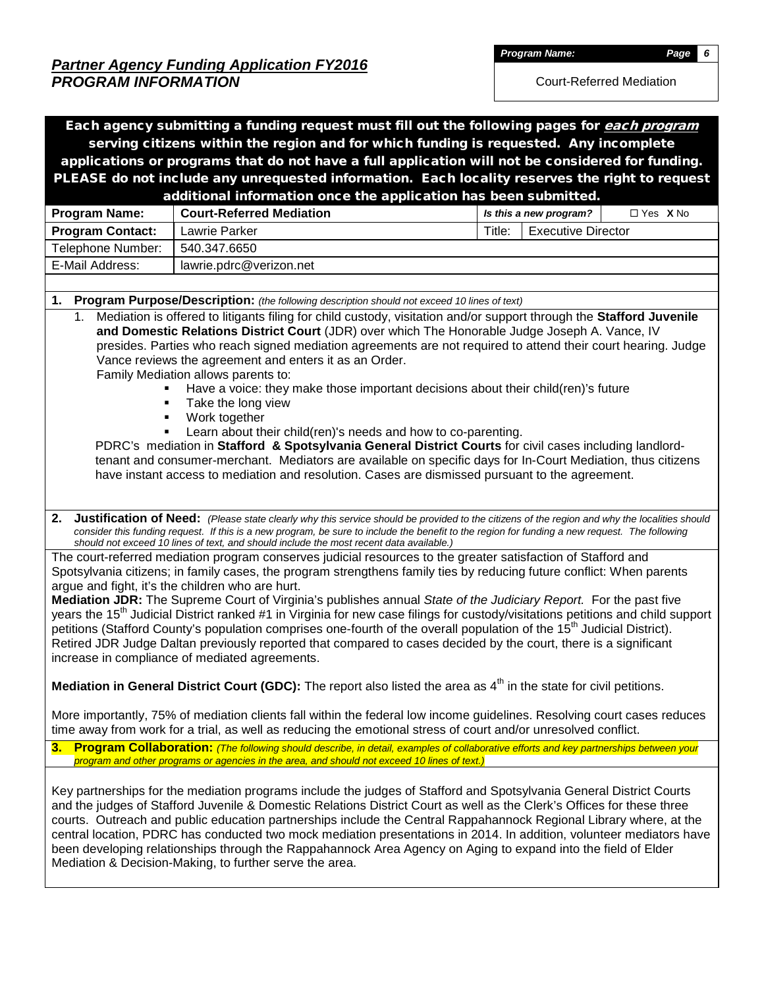*Partner Agency Funding Application FY2016 PROGRAM INFORMATION*

*Program Name: Page 6*

Court-Referred Mediation

| Each agency submitting a funding request must fill out the following pages for each program                                                                                                                                                                                                                                                                                                                                                                                                                                                                                 |                                                                                                                                                                                                                                                                                                                                                                                                                                                                                                                                                                                                                                                                                                                                                                                                                                                                                                                                                                          |                   |  |  |  |  |  |  |  |  |  |
|-----------------------------------------------------------------------------------------------------------------------------------------------------------------------------------------------------------------------------------------------------------------------------------------------------------------------------------------------------------------------------------------------------------------------------------------------------------------------------------------------------------------------------------------------------------------------------|--------------------------------------------------------------------------------------------------------------------------------------------------------------------------------------------------------------------------------------------------------------------------------------------------------------------------------------------------------------------------------------------------------------------------------------------------------------------------------------------------------------------------------------------------------------------------------------------------------------------------------------------------------------------------------------------------------------------------------------------------------------------------------------------------------------------------------------------------------------------------------------------------------------------------------------------------------------------------|-------------------|--|--|--|--|--|--|--|--|--|
|                                                                                                                                                                                                                                                                                                                                                                                                                                                                                                                                                                             | serving citizens within the region and for which funding is requested. Any incomplete                                                                                                                                                                                                                                                                                                                                                                                                                                                                                                                                                                                                                                                                                                                                                                                                                                                                                    |                   |  |  |  |  |  |  |  |  |  |
|                                                                                                                                                                                                                                                                                                                                                                                                                                                                                                                                                                             | applications or programs that do not have a full application will not be considered for funding.                                                                                                                                                                                                                                                                                                                                                                                                                                                                                                                                                                                                                                                                                                                                                                                                                                                                         |                   |  |  |  |  |  |  |  |  |  |
|                                                                                                                                                                                                                                                                                                                                                                                                                                                                                                                                                                             | PLEASE do not include any unrequested information. Each locality reserves the right to request                                                                                                                                                                                                                                                                                                                                                                                                                                                                                                                                                                                                                                                                                                                                                                                                                                                                           |                   |  |  |  |  |  |  |  |  |  |
|                                                                                                                                                                                                                                                                                                                                                                                                                                                                                                                                                                             | additional information once the application has been submitted.                                                                                                                                                                                                                                                                                                                                                                                                                                                                                                                                                                                                                                                                                                                                                                                                                                                                                                          | $\Box$ Yes $X$ No |  |  |  |  |  |  |  |  |  |
| Program Name:                                                                                                                                                                                                                                                                                                                                                                                                                                                                                                                                                               | <b>Court-Referred Mediation</b><br>Is this a new program?<br><b>Lawrie Parker</b><br>Title:<br><b>Executive Director</b>                                                                                                                                                                                                                                                                                                                                                                                                                                                                                                                                                                                                                                                                                                                                                                                                                                                 |                   |  |  |  |  |  |  |  |  |  |
| <b>Program Contact:</b>                                                                                                                                                                                                                                                                                                                                                                                                                                                                                                                                                     | 540.347.6650                                                                                                                                                                                                                                                                                                                                                                                                                                                                                                                                                                                                                                                                                                                                                                                                                                                                                                                                                             |                   |  |  |  |  |  |  |  |  |  |
| Telephone Number:<br>E-Mail Address:                                                                                                                                                                                                                                                                                                                                                                                                                                                                                                                                        | lawrie.pdrc@verizon.net                                                                                                                                                                                                                                                                                                                                                                                                                                                                                                                                                                                                                                                                                                                                                                                                                                                                                                                                                  |                   |  |  |  |  |  |  |  |  |  |
|                                                                                                                                                                                                                                                                                                                                                                                                                                                                                                                                                                             |                                                                                                                                                                                                                                                                                                                                                                                                                                                                                                                                                                                                                                                                                                                                                                                                                                                                                                                                                                          |                   |  |  |  |  |  |  |  |  |  |
| 1.<br>Program Purpose/Description: (the following description should not exceed 10 lines of text)                                                                                                                                                                                                                                                                                                                                                                                                                                                                           |                                                                                                                                                                                                                                                                                                                                                                                                                                                                                                                                                                                                                                                                                                                                                                                                                                                                                                                                                                          |                   |  |  |  |  |  |  |  |  |  |
|                                                                                                                                                                                                                                                                                                                                                                                                                                                                                                                                                                             | Mediation is offered to litigants filing for child custody, visitation and/or support through the Stafford Juvenile<br>1.<br>and Domestic Relations District Court (JDR) over which The Honorable Judge Joseph A. Vance, IV<br>presides. Parties who reach signed mediation agreements are not required to attend their court hearing. Judge<br>Vance reviews the agreement and enters it as an Order.<br>Family Mediation allows parents to:<br>Have a voice: they make those important decisions about their child(ren)'s future<br>Take the long view<br>Work together<br>Learn about their child(ren)'s needs and how to co-parenting.<br>PDRC's mediation in Stafford & Spotsylvania General District Courts for civil cases including landlord-<br>tenant and consumer-merchant. Mediators are available on specific days for In-Court Mediation, thus citizens<br>have instant access to mediation and resolution. Cases are dismissed pursuant to the agreement. |                   |  |  |  |  |  |  |  |  |  |
| 2.<br>argue and fight, it's the children who are hurt.                                                                                                                                                                                                                                                                                                                                                                                                                                                                                                                      | Justification of Need: (Please state clearly why this service should be provided to the citizens of the region and why the localities should<br>consider this funding request. If this is a new program, be sure to include the benefit to the region for funding a new request. The following<br>should not exceed 10 lines of text, and should include the most recent data available.)<br>The court-referred mediation program conserves judicial resources to the greater satisfaction of Stafford and<br>Spotsylvania citizens; in family cases, the program strengthens family ties by reducing future conflict: When parents                                                                                                                                                                                                                                                                                                                                      |                   |  |  |  |  |  |  |  |  |  |
| Mediation JDR: The Supreme Court of Virginia's publishes annual State of the Judiciary Report. For the past five<br>years the 15 <sup>th</sup> Judicial District ranked #1 in Virginia for new case filings for custody/visitations petitions and child support<br>petitions (Stafford County's population comprises one-fourth of the overall population of the 15 <sup>th</sup> Judicial District).<br>Retired JDR Judge Daltan previously reported that compared to cases decided by the court, there is a significant<br>increase in compliance of mediated agreements. |                                                                                                                                                                                                                                                                                                                                                                                                                                                                                                                                                                                                                                                                                                                                                                                                                                                                                                                                                                          |                   |  |  |  |  |  |  |  |  |  |
|                                                                                                                                                                                                                                                                                                                                                                                                                                                                                                                                                                             | Mediation in General District Court (GDC): The report also listed the area as 4 <sup>th</sup> in the state for civil petitions.                                                                                                                                                                                                                                                                                                                                                                                                                                                                                                                                                                                                                                                                                                                                                                                                                                          |                   |  |  |  |  |  |  |  |  |  |
| More importantly, 75% of mediation clients fall within the federal low income guidelines. Resolving court cases reduces<br>time away from work for a trial, as well as reducing the emotional stress of court and/or unresolved conflict.                                                                                                                                                                                                                                                                                                                                   |                                                                                                                                                                                                                                                                                                                                                                                                                                                                                                                                                                                                                                                                                                                                                                                                                                                                                                                                                                          |                   |  |  |  |  |  |  |  |  |  |
|                                                                                                                                                                                                                                                                                                                                                                                                                                                                                                                                                                             | 3. Program Collaboration: (The following should describe, in detail, examples of collaborative efforts and key partnerships between your<br>program and other programs or agencies in the area, and should not exceed 10 lines of text.)                                                                                                                                                                                                                                                                                                                                                                                                                                                                                                                                                                                                                                                                                                                                 |                   |  |  |  |  |  |  |  |  |  |
|                                                                                                                                                                                                                                                                                                                                                                                                                                                                                                                                                                             | Key partnerships for the mediation programs include the judges of Stafford and Spotsylvania General District Courts<br>and the judges of Stafford Juvenile & Domestic Relations District Court as well as the Clerk's Offices for these three<br>courts. Outreach and public education partnerships include the Central Rappahannock Regional Library where, at the<br>central location, PDRC has conducted two mock mediation presentations in 2014. In addition, volunteer mediators have<br>been developing relationships through the Rappahannock Area Agency on Aging to expand into the field of Elder<br>Mediation & Decision-Making, to further serve the area.                                                                                                                                                                                                                                                                                                  |                   |  |  |  |  |  |  |  |  |  |
|                                                                                                                                                                                                                                                                                                                                                                                                                                                                                                                                                                             |                                                                                                                                                                                                                                                                                                                                                                                                                                                                                                                                                                                                                                                                                                                                                                                                                                                                                                                                                                          |                   |  |  |  |  |  |  |  |  |  |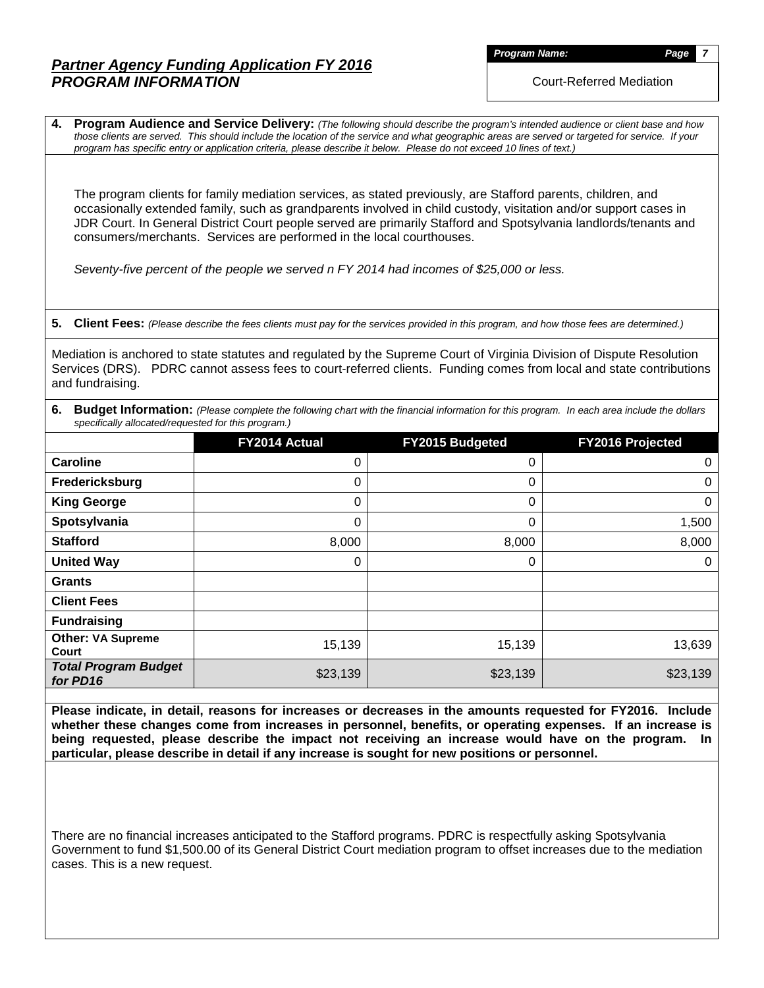# *Partner Agency Funding Application FY 2016 PROGRAM INFORMATION*

*Program Name: Page 7*

Court-Referred Mediation

**4. Program Audience and Service Delivery:** *(The following should describe the program's intended audience or client base and how those clients are served. This should include the location of the service and what geographic areas are served or targeted for service. If your program has specific entry or application criteria, please describe it below. Please do not exceed 10 lines of text.)*

The program clients for family mediation services, as stated previously, are Stafford parents, children, and occasionally extended family, such as grandparents involved in child custody, visitation and/or support cases in JDR Court. In General District Court people served are primarily Stafford and Spotsylvania landlords/tenants and consumers/merchants. Services are performed in the local courthouses.

*Seventy-five percent of the people we served n FY 2014 had incomes of \$25,000 or less.*

**5. Client Fees:** *(Please describe the fees clients must pay for the services provided in this program, and how those fees are determined.)*

Mediation is anchored to state statutes and regulated by the Supreme Court of Virginia Division of Dispute Resolution Services (DRS). PDRC cannot assess fees to court-referred clients. Funding comes from local and state contributions and fundraising.

|                                                     | 6. Budget Information: (Please complete the following chart with the financial information for this program. In each area include the dollars |  |
|-----------------------------------------------------|-----------------------------------------------------------------------------------------------------------------------------------------------|--|
| specifically allocated/requested for this program.) |                                                                                                                                               |  |

|                                         | FY2014 Actual | FY2015 Budgeted | FY2016 Projected |
|-----------------------------------------|---------------|-----------------|------------------|
| <b>Caroline</b>                         | 0             | 0               | 0                |
| Fredericksburg                          | 0             | 0               | 0                |
| <b>King George</b>                      | 0             | 0               | 0                |
| Spotsylvania                            | 0             | 0               | 1,500            |
| <b>Stafford</b>                         | 8,000         | 8,000           | 8,000            |
| <b>United Way</b>                       | 0             | 0               | 0                |
| <b>Grants</b>                           |               |                 |                  |
| <b>Client Fees</b>                      |               |                 |                  |
| <b>Fundraising</b>                      |               |                 |                  |
| <b>Other: VA Supreme</b><br>Court       | 15,139        | 15,139          | 13,639           |
| <b>Total Program Budget</b><br>for PD16 | \$23,139      | \$23,139        | \$23,139         |

**Please indicate, in detail, reasons for increases or decreases in the amounts requested for FY2016. Include whether these changes come from increases in personnel, benefits, or operating expenses. If an increase is being requested, please describe the impact not receiving an increase would have on the program. In particular, please describe in detail if any increase is sought for new positions or personnel.**

There are no financial increases anticipated to the Stafford programs. PDRC is respectfully asking Spotsylvania Government to fund \$1,500.00 of its General District Court mediation program to offset increases due to the mediation cases. This is a new request.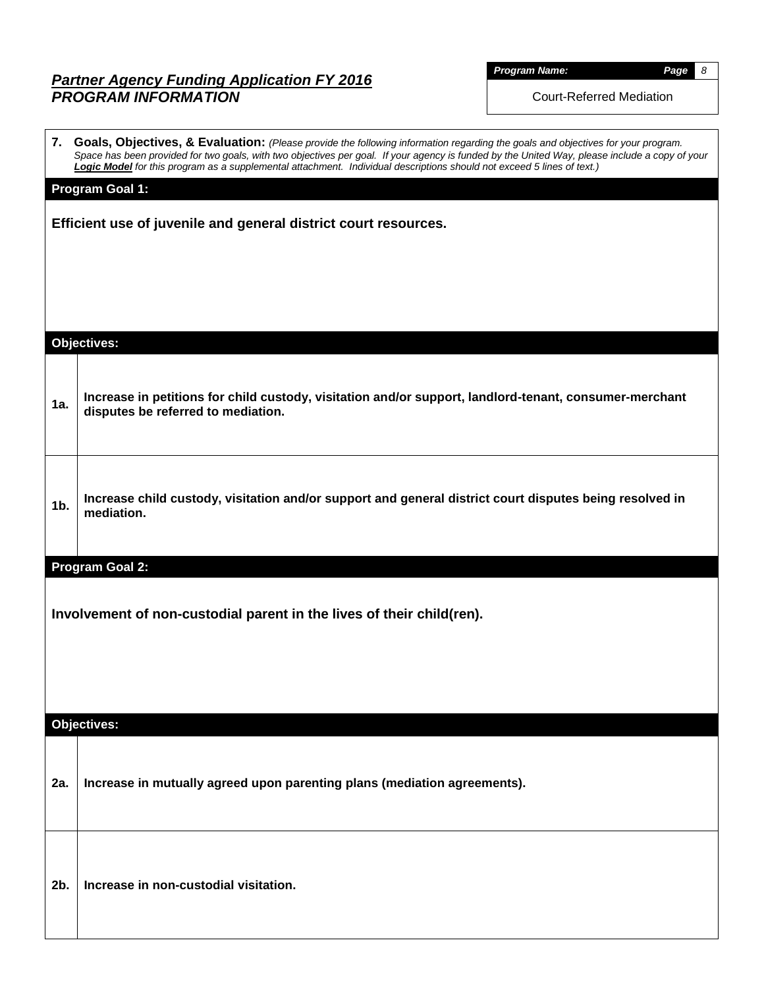# *Partner Agency Funding Application FY 2016 PROGRAM INFORMATION*

| <b>Program Name.</b> |  |
|----------------------|--|

*Program Name: Page 8*

Court-Referred Mediation

|     | 7. Goals, Objectives, & Evaluation: (Please provide the following information regarding the goals and objectives for your program.<br>Space has been provided for two goals, with two objectives per goal. If your agency is funded by the United Way, please include a copy of your<br>Logic Model for this program as a supplemental attachment. Individual descriptions should not exceed 5 lines of text.) |
|-----|----------------------------------------------------------------------------------------------------------------------------------------------------------------------------------------------------------------------------------------------------------------------------------------------------------------------------------------------------------------------------------------------------------------|
|     | <b>Program Goal 1:</b>                                                                                                                                                                                                                                                                                                                                                                                         |
|     | Efficient use of juvenile and general district court resources.                                                                                                                                                                                                                                                                                                                                                |
|     |                                                                                                                                                                                                                                                                                                                                                                                                                |
|     |                                                                                                                                                                                                                                                                                                                                                                                                                |
|     |                                                                                                                                                                                                                                                                                                                                                                                                                |
|     | <b>Objectives:</b>                                                                                                                                                                                                                                                                                                                                                                                             |
|     |                                                                                                                                                                                                                                                                                                                                                                                                                |
| 1a. | Increase in petitions for child custody, visitation and/or support, landlord-tenant, consumer-merchant<br>disputes be referred to mediation.                                                                                                                                                                                                                                                                   |
|     |                                                                                                                                                                                                                                                                                                                                                                                                                |
|     | Increase child custody, visitation and/or support and general district court disputes being resolved in                                                                                                                                                                                                                                                                                                        |
| 1b. | mediation.                                                                                                                                                                                                                                                                                                                                                                                                     |
|     |                                                                                                                                                                                                                                                                                                                                                                                                                |
|     | Program Goal 2:                                                                                                                                                                                                                                                                                                                                                                                                |
|     | Involvement of non-custodial parent in the lives of their child(ren).                                                                                                                                                                                                                                                                                                                                          |
|     |                                                                                                                                                                                                                                                                                                                                                                                                                |
|     |                                                                                                                                                                                                                                                                                                                                                                                                                |
|     |                                                                                                                                                                                                                                                                                                                                                                                                                |
|     | <b>Objectives:</b>                                                                                                                                                                                                                                                                                                                                                                                             |
|     |                                                                                                                                                                                                                                                                                                                                                                                                                |
| 2a. | Increase in mutually agreed upon parenting plans (mediation agreements).                                                                                                                                                                                                                                                                                                                                       |
|     |                                                                                                                                                                                                                                                                                                                                                                                                                |
|     |                                                                                                                                                                                                                                                                                                                                                                                                                |
|     |                                                                                                                                                                                                                                                                                                                                                                                                                |
| 2b. | Increase in non-custodial visitation.                                                                                                                                                                                                                                                                                                                                                                          |
|     |                                                                                                                                                                                                                                                                                                                                                                                                                |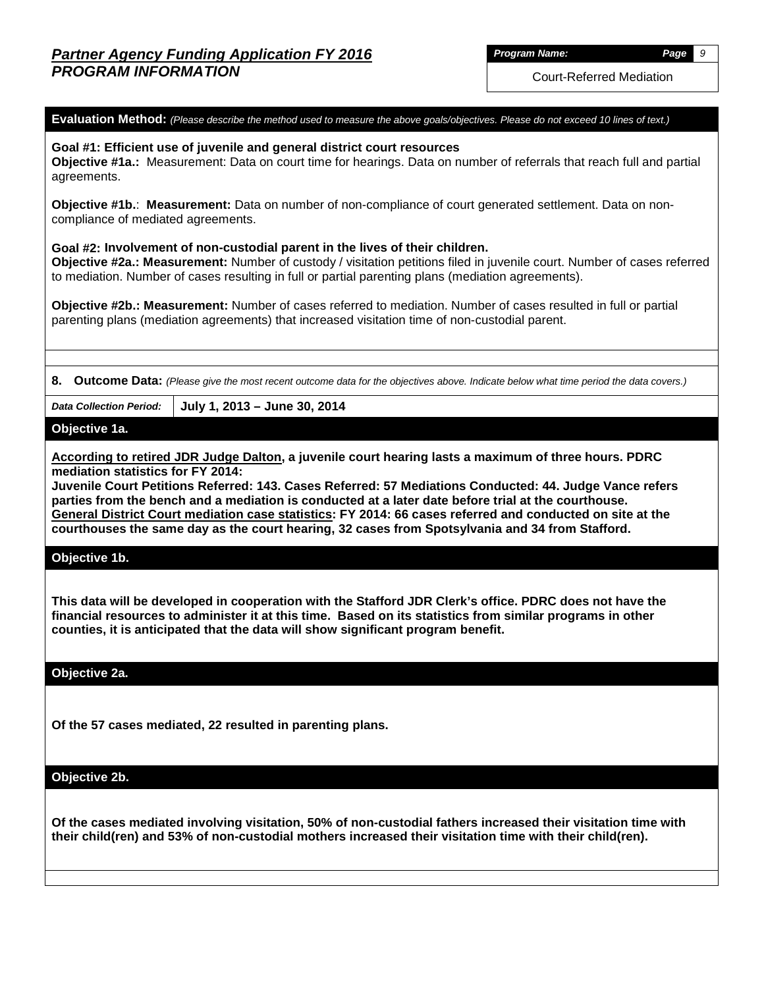Court-Referred Mediation

**Evaluation Method:** *(Please describe the method used to measure the above goals/objectives. Please do not exceed 10 lines of text.)*

**Goal #1: Efficient use of juvenile and general district court resources Objective #1a.:** Measurement: Data on court time for hearings. Data on number of referrals that reach full and partial agreements.

**Objective #1b.**: **Measurement:** Data on number of non-compliance of court generated settlement. Data on noncompliance of mediated agreements.

**Goal #2: Involvement of non-custodial parent in the lives of their children. Objective #2a.: Measurement:** Number of custody / visitation petitions filed in juvenile court. Number of cases referred

to mediation. Number of cases resulting in full or partial parenting plans (mediation agreements).

**Objective #2b.: Measurement:** Number of cases referred to mediation. Number of cases resulted in full or partial parenting plans (mediation agreements) that increased visitation time of non-custodial parent.

**8. Outcome Data:** *(Please give the most recent outcome data for the objectives above. Indicate below what time period the data covers.)*

*Data Collection Period:* **July 1, 2013 – June 30, 2014**

#### **Objective 1a.**

**According to retired JDR Judge Dalton, a juvenile court hearing lasts a maximum of three hours. PDRC mediation statistics for FY 2014:**

**Juvenile Court Petitions Referred: 143. Cases Referred: 57 Mediations Conducted: 44. Judge Vance refers parties from the bench and a mediation is conducted at a later date before trial at the courthouse. General District Court mediation case statistics: FY 2014: 66 cases referred and conducted on site at the courthouses the same day as the court hearing, 32 cases from Spotsylvania and 34 from Stafford.**

#### **Objective 1b.**

**This data will be developed in cooperation with the Stafford JDR Clerk's office. PDRC does not have the financial resources to administer it at this time. Based on its statistics from similar programs in other counties, it is anticipated that the data will show significant program benefit.**

#### **Objective 2a.**

**Of the 57 cases mediated, 22 resulted in parenting plans.**

**Objective 2b.**

**Of the cases mediated involving visitation, 50% of non-custodial fathers increased their visitation time with their child(ren) and 53% of non-custodial mothers increased their visitation time with their child(ren).**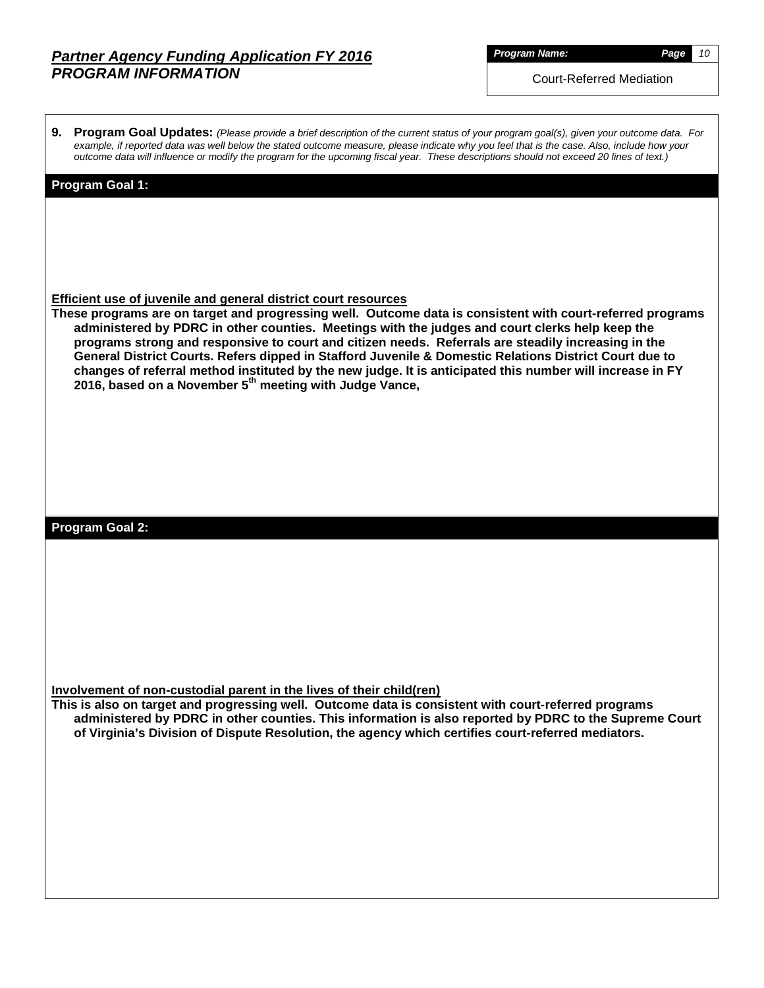# *Partner Agency Funding Application FY 2016 PROGRAM INFORMATION*

*Program Name: Page 10*

Court-Referred Mediation

**9. Program Goal Updates:** *(Please provide a brief description of the current status of your program goal(s), given your outcome data. For example, if reported data was well below the stated outcome measure, please indicate why you feel that is the case. Also, include how your outcome data will influence or modify the program for the upcoming fiscal year. These descriptions should not exceed 20 lines of text.)*

#### **Program Goal 1:**

#### **Efficient use of juvenile and general district court resources**

**These programs are on target and progressing well. Outcome data is consistent with court-referred programs administered by PDRC in other counties. Meetings with the judges and court clerks help keep the programs strong and responsive to court and citizen needs. Referrals are steadily increasing in the General District Courts. Refers dipped in Stafford Juvenile & Domestic Relations District Court due to changes of referral method instituted by the new judge. It is anticipated this number will increase in FY 2016, based on a November 5th meeting with Judge Vance,** 

## **Program Goal 2:**

**Involvement of non-custodial parent in the lives of their child(ren)**

**This is also on target and progressing well. Outcome data is consistent with court-referred programs administered by PDRC in other counties. This information is also reported by PDRC to the Supreme Court of Virginia's Division of Dispute Resolution, the agency which certifies court-referred mediators.**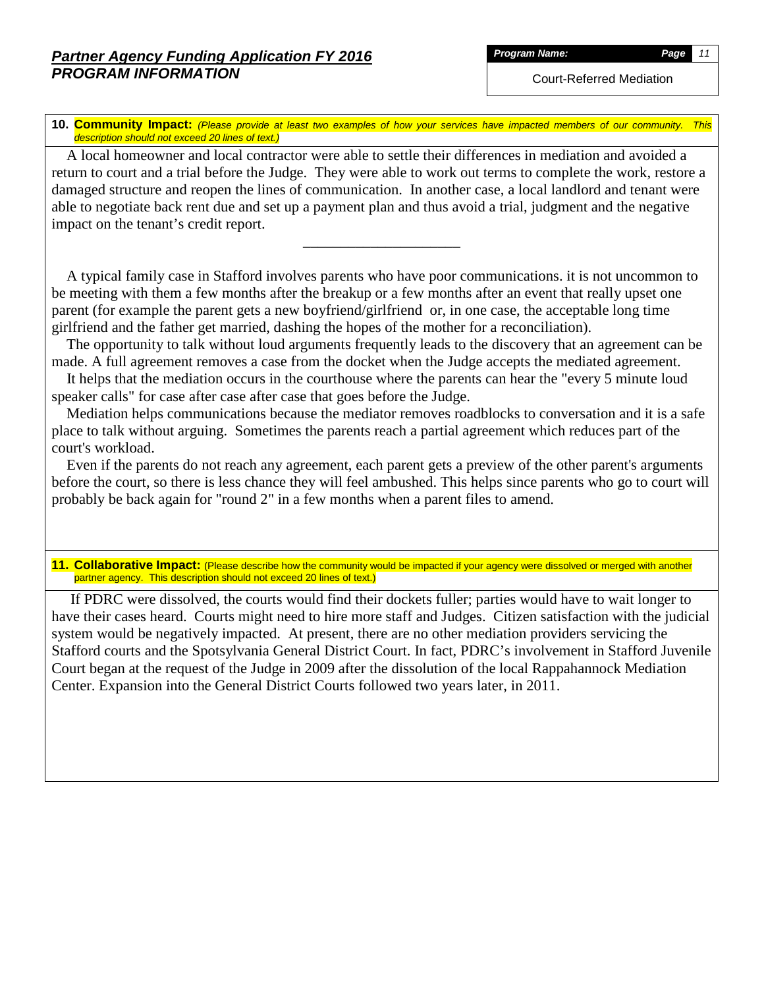Court-Referred Mediation

**10. Community Impact:** *(Please provide at least two examples of how your services have impacted members of our community. This description should not exceed 20 lines of text.)*

 A local homeowner and local contractor were able to settle their differences in mediation and avoided a return to court and a trial before the Judge. They were able to work out terms to complete the work, restore a damaged structure and reopen the lines of communication. In another case, a local landlord and tenant were able to negotiate back rent due and set up a payment plan and thus avoid a trial, judgment and the negative impact on the tenant's credit report.

\_\_\_\_\_\_\_\_\_\_\_\_\_\_\_\_\_\_\_\_\_

 A typical family case in Stafford involves parents who have poor communications. it is not uncommon to be meeting with them a few months after the breakup or a few months after an event that really upset one parent (for example the parent gets a new boyfriend/girlfriend or, in one case, the acceptable long time girlfriend and the father get married, dashing the hopes of the mother for a reconciliation).

 The opportunity to talk without loud arguments frequently leads to the discovery that an agreement can be made. A full agreement removes a case from the docket when the Judge accepts the mediated agreement.

 It helps that the mediation occurs in the courthouse where the parents can hear the "every 5 minute loud speaker calls" for case after case after case that goes before the Judge.

 Mediation helps communications because the mediator removes roadblocks to conversation and it is a safe place to talk without arguing. Sometimes the parents reach a partial agreement which reduces part of the court's workload.

 Even if the parents do not reach any agreement, each parent gets a preview of the other parent's arguments before the court, so there is less chance they will feel ambushed. This helps since parents who go to court will probably be back again for "round 2" in a few months when a parent files to amend.

**11. Collaborative Impact:** (Please describe how the community would be impacted if your agency were dissolved or merged with another partner agency. This description should not exceed 20 lines of text.)

 If PDRC were dissolved, the courts would find their dockets fuller; parties would have to wait longer to have their cases heard. Courts might need to hire more staff and Judges. Citizen satisfaction with the judicial system would be negatively impacted. At present, there are no other mediation providers servicing the Stafford courts and the Spotsylvania General District Court. In fact, PDRC's involvement in Stafford Juvenile Court began at the request of the Judge in 2009 after the dissolution of the local Rappahannock Mediation Center. Expansion into the General District Courts followed two years later, in 2011.